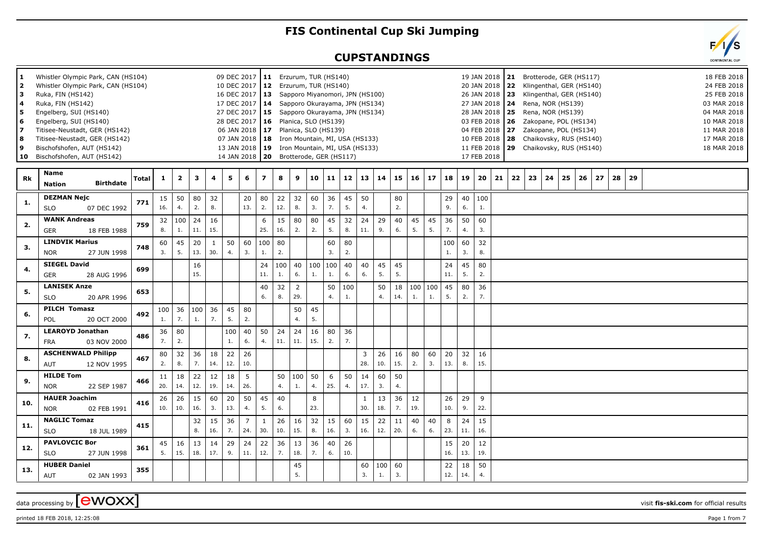## **FIS Continental Cup Ski Jumping**

## **CUPSTANDINGS**



 $\alpha$  data processing by  $\boxed{\text{ewOXX}}$ 

printed 18 FEB 2018, 12:25:08 Page 1 from 7

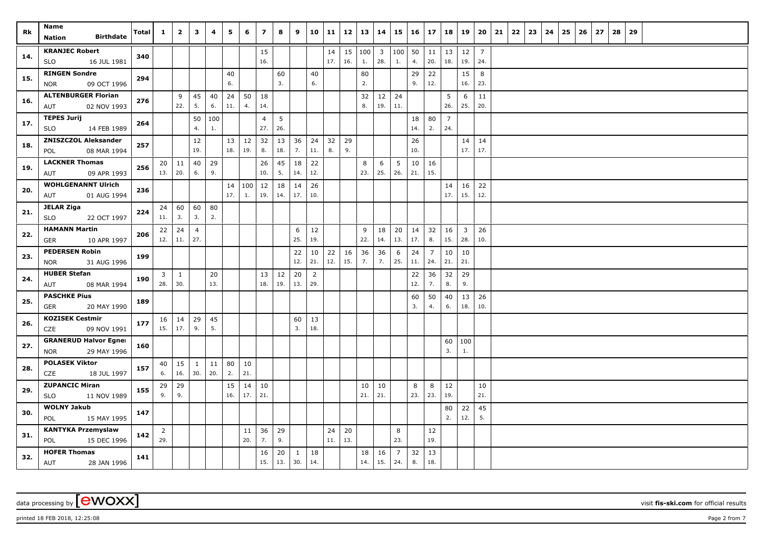| Rk  | Name<br><b>Birthdate</b><br>Nation                        | Total | $\mathbf{1}$           | $\overline{2}$      | 3                     | 4         | 5         | 6         | $\overline{ }$        | 8         | 9                   | 10                    | 11        | 12        | 13                  | 14                             | 15                    | 16        | 17                    | 18                    | 19                             | 20                    | 21 | 22 | 23 | 24 | 25 | 26 | 27 | 28 | 29 |  |  |  |
|-----|-----------------------------------------------------------|-------|------------------------|---------------------|-----------------------|-----------|-----------|-----------|-----------------------|-----------|---------------------|-----------------------|-----------|-----------|---------------------|--------------------------------|-----------------------|-----------|-----------------------|-----------------------|--------------------------------|-----------------------|----|----|----|----|----|----|----|----|----|--|--|--|
| 14. | <b>KRANJEC Robert</b><br><b>SLO</b><br>16 JUL 1981        | 340   |                        |                     |                       |           |           |           | 15<br>16.             |           |                     |                       | 14<br>17. | 15<br>16. | $ 100\rangle$<br>1. | $\overline{\mathbf{3}}$<br>28. | 100 50<br>1.          | 4.        | 11<br>20.             | 18.                   | $13 \mid 12$<br>19.            | $\overline{7}$<br>24. |    |    |    |    |    |    |    |    |    |  |  |  |
| 15. | <b>RINGEN Sondre</b><br>09 OCT 1996<br><b>NOR</b>         | 294   |                        |                     |                       |           | 40<br>6.  |           |                       | 60<br>3.  |                     | 40<br>6.              |           |           | 80<br>2.            |                                |                       | 29<br>9.  | 22<br>12.             |                       | 15<br>16.                      | 8<br>23.              |    |    |    |    |    |    |    |    |    |  |  |  |
| 16. | <b>ALTENBURGER Florian</b><br>02 NOV 1993<br>AUT          | 276   |                        | 9<br>22.            | 45<br>5.              | 40<br>6.  | 24<br>11. | 50<br>4.  | 18<br>14.             |           |                     |                       |           |           | 32<br>8.            | 12<br>19.                      | 24<br>11.             |           |                       | 5<br>26.              | 6<br>25.                       | 11<br>20.             |    |    |    |    |    |    |    |    |    |  |  |  |
| 17. | <b>TEPES Jurij</b><br><b>SLO</b><br>14 FEB 1989           | 264   |                        |                     | 50<br>4.              | 100<br>1. |           |           | $\overline{4}$<br>27. | 5<br>26.  |                     |                       |           |           |                     |                                |                       | 18<br>14. | 80<br>2.              | $\overline{7}$<br>24. |                                |                       |    |    |    |    |    |    |    |    |    |  |  |  |
| 18. | <b>ZNISZCZOL Aleksander</b><br>08 MAR 1994<br>POL         | 257   |                        |                     | 12<br>19.             |           | 13<br>18. | 12<br>19. | 32<br>8.              | 13<br>18. | 36<br>7.            | 24<br>11.             | 32<br>8.  | 29<br>9.  |                     |                                |                       | 26<br>10. |                       |                       | 14<br>17.                      | 14<br>17.             |    |    |    |    |    |    |    |    |    |  |  |  |
| 19. | <b>LACKNER Thomas</b><br>09 APR 1993<br>AUT               | 256   | 20 <sub>1</sub><br>13. | 11<br>20.           | 40<br>6.              | 29<br>9.  |           |           | 26<br>10.             | 45<br>5.  | 18<br>14.           | 22<br>12.             |           |           | 8<br>23.            | 6<br>25.                       | 5<br>26.              | 10<br>21. | 16<br>15.             |                       |                                |                       |    |    |    |    |    |    |    |    |    |  |  |  |
| 20. | <b>WOHLGENANNT Ulrich</b><br>01 AUG 1994<br>AUT           | 236   |                        |                     |                       |           | 14<br>17. | 100<br>1. | 12<br>19.             | 18<br>14. | 14<br>17.           | 26<br>10.             |           |           |                     |                                |                       |           |                       | 14<br>17.             | 16<br>15.                      | 22<br>12.             |    |    |    |    |    |    |    |    |    |  |  |  |
| 21. | <b>JELAR Ziga</b><br><b>SLO</b><br>22 OCT 1997            | 224   | 24<br>11.              | 60<br>3.            | 60<br>3.              | 80<br>2.  |           |           |                       |           |                     |                       |           |           |                     |                                |                       |           |                       |                       |                                |                       |    |    |    |    |    |    |    |    |    |  |  |  |
| 22. | <b>HAMANN Martin</b><br>10 APR 1997<br>GER                | 206   | 22<br>12.              | $\vert$ 24<br>11.   | $\overline{4}$<br>27. |           |           |           |                       |           | 6<br>25.            | 12<br>19.             |           |           | 9<br>22.            | 18<br>14.                      | 20<br>13.             | 14<br>17. | 32<br>8.              | 16<br>15.             | $\overline{\mathbf{3}}$<br>28. | 26<br>10.             |    |    |    |    |    |    |    |    |    |  |  |  |
| 23. | <b>PEDERSEN Robin</b><br><b>NOR</b><br>31 AUG 1996        | 199   |                        |                     |                       |           |           |           |                       |           | 22<br>12.           | 10<br>21.             | 22<br>12. | 16<br>15. | 36<br>7.            | 36<br>7.                       | 6<br>25.              | 24<br>11. | $\overline{7}$<br>24. | 10<br>21.             | 10<br>21.                      |                       |    |    |    |    |    |    |    |    |    |  |  |  |
| 24. | <b>HUBER Stefan</b><br>08 MAR 1994<br>AUT                 | 190   | 3<br>28.               | $\mathbf{1}$<br>30. |                       | 20<br>13. |           |           | 13<br>18.             | 12<br>19. | 20<br>13.           | $\overline{2}$<br>29. |           |           |                     |                                |                       | 22<br>12. | 36<br>7.              | 32<br>8.              | 29<br>9.                       |                       |    |    |    |    |    |    |    |    |    |  |  |  |
| 25. | <b>PASCHKE Pius</b><br><b>GER</b><br>20 MAY 1990          | 189   |                        |                     |                       |           |           |           |                       |           |                     |                       |           |           |                     |                                |                       | 60<br>3.  | 50<br>4.              | 40<br>6.              | 13<br>18.                      | 26<br>10.             |    |    |    |    |    |    |    |    |    |  |  |  |
| 26. | <b>KOZISEK Cestmir</b><br>CZE<br>09 NOV 1991              | 177   | 15.                    | $16 \mid 14$<br>17. | 29<br>9.              | 45<br>5.  |           |           |                       |           | 60<br>3.            | 13<br>18.             |           |           |                     |                                |                       |           |                       |                       |                                |                       |    |    |    |    |    |    |    |    |    |  |  |  |
| 27. | <b>GRANERUD Halvor Egner</b><br>29 MAY 1996<br><b>NOR</b> | 160   |                        |                     |                       |           |           |           |                       |           |                     |                       |           |           |                     |                                |                       |           |                       | 3.                    | 60   100<br>1.                 |                       |    |    |    |    |    |    |    |    |    |  |  |  |
| 28. | <b>POLASEK Viktor</b><br>CZE<br>18 JUL 1997               | 157   | 40<br>6.               | 15<br>16.           | $\mathbf{1}$<br>30.   | 11<br>20. | 80<br>2.  | 10<br>21. |                       |           |                     |                       |           |           |                     |                                |                       |           |                       |                       |                                |                       |    |    |    |    |    |    |    |    |    |  |  |  |
| 29. | <b>ZUPANCIC Miran</b><br>11 NOV 1989<br>SLO               | 155   | 29<br>9.               | 29<br>9.            |                       |           | 15<br>16. | 14<br>17. | 10<br>21.             |           |                     |                       |           |           | 10<br>21.           | 10<br>21.                      |                       | 8<br>23.  | 8<br>23.              | 12<br>19.             |                                | 10<br>21.             |    |    |    |    |    |    |    |    |    |  |  |  |
| 30. | <b>WOLNY Jakub</b><br>15 MAY 1995<br>POL                  | 147   |                        |                     |                       |           |           |           |                       |           |                     |                       |           |           |                     |                                |                       |           |                       | 80<br>2.              | 22<br>12.                      | 45<br>5.              |    |    |    |    |    |    |    |    |    |  |  |  |
| 31. | <b>KANTYKA Przemyslaw</b><br>POL<br>15 DEC 1996           | 142   | $\overline{2}$<br>29.  |                     |                       |           |           | 11<br>20. | 36<br>7.              | 29<br>9.  |                     |                       | 24<br>11. | 20<br>13. |                     |                                | 8<br>23.              |           | 12<br>19.             |                       |                                |                       |    |    |    |    |    |    |    |    |    |  |  |  |
| 32. | <b>HOFER Thomas</b><br>AUT<br>28 JAN 1996                 | 141   |                        |                     |                       |           |           |           | 16<br>15.             | 20<br>13. | $\mathbf{1}$<br>30. | 18<br>14.             |           |           | 18<br>14.           | 16<br>15.                      | $\overline{7}$<br>24. | 32<br>8.  | 13<br>18.             |                       |                                |                       |    |    |    |    |    |    |    |    |    |  |  |  |

printed 18 FEB 2018, 12:25:08 **Page 2** from 7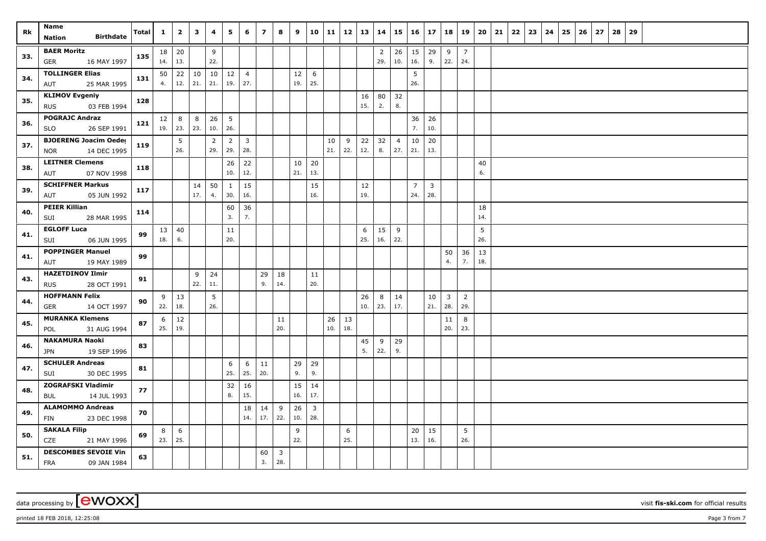| Rk  | Name                                                      | Total | $\mathbf{1}$ | $\mathbf{2}$   | $\mathbf{3}$ | 4         | 5                      | 6                     | $\overline{ }$ | 8                              | 9         | 10                    | 11        | 12        | 13        | 14                    |                             | $15 \mid 16 \mid$     | 17                    | 18                    | 19                    | 20                | 21 | 22 | 23 | 24 | 25 | 26 | 27 | 28 | 29 |  |  |  |
|-----|-----------------------------------------------------------|-------|--------------|----------------|--------------|-----------|------------------------|-----------------------|----------------|--------------------------------|-----------|-----------------------|-----------|-----------|-----------|-----------------------|-----------------------------|-----------------------|-----------------------|-----------------------|-----------------------|-------------------|----|----|----|----|----|----|----|----|----|--|--|--|
|     | <b>Birthdate</b><br>Nation                                |       |              |                |              |           |                        |                       |                |                                |           |                       |           |           |           |                       |                             |                       |                       |                       |                       |                   |    |    |    |    |    |    |    |    |    |  |  |  |
| 33. | <b>BAER Moritz</b><br>16 MAY 1997<br>GER                  | 135   | 14.          | $18$ 20<br>13. |              | 9<br>22.  |                        |                       |                |                                |           |                       |           |           |           | $\overline{2}$<br>29. | $26 \mid 15$<br>10.         | 16.                   | 29<br>9.              | 9<br>22.              | $\overline{7}$<br>24. |                   |    |    |    |    |    |    |    |    |    |  |  |  |
| 34. | <b>TOLLINGER Elias</b><br>25 MAR 1995<br>AUT              | 131   | 50<br>4.     | 22<br>12.      | 10<br>21.    | 21.       | $10 \mid 12$<br>19.    | $\overline{4}$<br>27. |                |                                | 12<br>19. | 6<br>25.              |           |           |           |                       |                             | 5<br>26.              |                       |                       |                       |                   |    |    |    |    |    |    |    |    |    |  |  |  |
| 35. | <b>KLIMOV Evgeniy</b><br>03 FEB 1994<br><b>RUS</b>        | 128   |              |                |              |           |                        |                       |                |                                |           |                       |           |           | 16<br>15. | 80<br>2.              | 32<br>8.                    |                       |                       |                       |                       |                   |    |    |    |    |    |    |    |    |    |  |  |  |
| 36. | <b>POGRAJC Andraz</b><br>26 SEP 1991<br>SLO               | 121   | 12           | 8<br>19. 23.   | 8<br>23.     | 26<br>10. | $5\overline{5}$<br>26. |                       |                |                                |           |                       |           |           |           |                       |                             | 36<br>7.              | 26<br>10.             |                       |                       |                   |    |    |    |    |    |    |    |    |    |  |  |  |
| 37. | <b>BJOERENG Joacim Oeder</b><br>14 DEC 1995<br><b>NOR</b> | 119   |              | 5<br>26.       |              | 2<br>29.  | $\overline{2}$<br>29.  | $\overline{3}$<br>28. |                |                                |           |                       | 10<br>21. | 9<br>22.  | 22<br>12. | 32<br>8.              | $\overline{4}$<br>$27.$ 21. | 10                    | 20<br>13.             |                       |                       |                   |    |    |    |    |    |    |    |    |    |  |  |  |
| 38. | <b>LEITNER Clemens</b><br>07 NOV 1998<br>AUT              | 118   |              |                |              |           | 26<br>10.              | 22<br>12.             |                |                                | 10<br>21. | 20<br>13.             |           |           |           |                       |                             |                       |                       |                       |                       | 40<br>6.          |    |    |    |    |    |    |    |    |    |  |  |  |
| 39. | <b>SCHIFFNER Markus</b><br>05 JUN 1992<br>AUT             | 117   |              |                | 14<br>17.    | 50<br>4.  | 1<br>30.               | 15<br>16.             |                |                                |           | 15<br>16.             |           |           | 12<br>19. |                       |                             | $\overline{7}$<br>24. | $\overline{3}$<br>28. |                       |                       |                   |    |    |    |    |    |    |    |    |    |  |  |  |
| 40. | <b>PEIER Killian</b><br>28 MAR 1995<br>SUI                | 114   |              |                |              |           | 60<br>3.               | 36<br>7.              |                |                                |           |                       |           |           |           |                       |                             |                       |                       |                       |                       | 18<br>14.         |    |    |    |    |    |    |    |    |    |  |  |  |
| 41. | <b>EGLOFF Luca</b><br>SUI<br>06 JUN 1995                  | 99    | 13<br>18.    | 40<br>6.       |              |           | 11<br>20.              |                       |                |                                |           |                       |           |           | 6<br>25.  | 15<br>16.             | 9<br>22.                    |                       |                       |                       |                       | 5<br>26.          |    |    |    |    |    |    |    |    |    |  |  |  |
| 41. | <b>POPPINGER Manuel</b><br>19 MAY 1989<br>AUT             | 99    |              |                |              |           |                        |                       |                |                                |           |                       |           |           |           |                       |                             |                       |                       | 50<br>4.              | 36<br>7.              | $\vert$ 13<br>18. |    |    |    |    |    |    |    |    |    |  |  |  |
| 43. | <b>HAZETDINOV Ilmir</b><br><b>RUS</b><br>28 OCT 1991      | 91    |              |                | 9<br>22.     | 24<br>11. |                        |                       | 29<br>9.       | 18<br>14.                      |           | 11<br>20.             |           |           |           |                       |                             |                       |                       |                       |                       |                   |    |    |    |    |    |    |    |    |    |  |  |  |
| 44. | <b>HOFFMANN Felix</b><br>14 OCT 1997<br>GER               | 90    | 9<br>22.     | 13<br>18.      |              | 5<br>26.  |                        |                       |                |                                |           |                       |           |           | 26<br>10. | 8<br>23.              | 14<br>17.                   |                       | 10<br>21.             | $\overline{3}$<br>28. | $\overline{2}$<br>29. |                   |    |    |    |    |    |    |    |    |    |  |  |  |
| 45. | <b>MURANKA Klemens</b><br>31 AUG 1994<br>POL              | 87    | 6<br>25.     | 12<br>19.      |              |           |                        |                       |                | 11<br>20.                      |           |                       | 26<br>10. | 13<br>18. |           |                       |                             |                       |                       | 11<br>20.             | 8<br>23.              |                   |    |    |    |    |    |    |    |    |    |  |  |  |
| 46. | <b>NAKAMURA Naoki</b><br>19 SEP 1996<br><b>JPN</b>        | 83    |              |                |              |           |                        |                       |                |                                |           |                       |           |           | 45<br>5.  | 9<br>22.              | 29<br>9.                    |                       |                       |                       |                       |                   |    |    |    |    |    |    |    |    |    |  |  |  |
| 47. | <b>SCHULER Andreas</b><br>SUI<br>30 DEC 1995              | 81    |              |                |              |           | 6<br>25.               | 6<br>25.              | 11<br>20.      |                                | 29<br>9.  | 29<br>9.              |           |           |           |                       |                             |                       |                       |                       |                       |                   |    |    |    |    |    |    |    |    |    |  |  |  |
| 48. | <b>ZOGRAFSKI Vladimir</b><br>14 JUL 1993<br><b>BUL</b>    | 77    |              |                |              |           | 32<br>8.               | 16<br>15.             |                |                                | 15<br>16. | 14<br>17.             |           |           |           |                       |                             |                       |                       |                       |                       |                   |    |    |    |    |    |    |    |    |    |  |  |  |
| 49. | <b>ALAMOMMO Andreas</b><br>FIN<br>23 DEC 1998             | 70    |              |                |              |           |                        | 18<br>14.             | 14<br>17.      | 9<br>22.                       | 26<br>10. | $\overline{3}$<br>28. |           |           |           |                       |                             |                       |                       |                       |                       |                   |    |    |    |    |    |    |    |    |    |  |  |  |
| 50. | <b>SAKALA Filip</b><br>CZE<br>21 MAY 1996                 | 69    | 8<br>23.     | 6<br>25.       |              |           |                        |                       |                |                                | 9<br>22.  |                       |           | 6<br>25.  |           |                       |                             | 20<br>13.             | 15<br>16.             |                       | 5<br>26.              |                   |    |    |    |    |    |    |    |    |    |  |  |  |
| 51. | <b>DESCOMBES SEVOIE Vin</b><br><b>FRA</b><br>09 JAN 1984  | 63    |              |                |              |           |                        |                       | 60<br>3.       | $\overline{\mathbf{3}}$<br>28. |           |                       |           |           |           |                       |                             |                       |                       |                       |                       |                   |    |    |    |    |    |    |    |    |    |  |  |  |

printed 18 FEB 2018, 12:25:08 **Page 3** from 7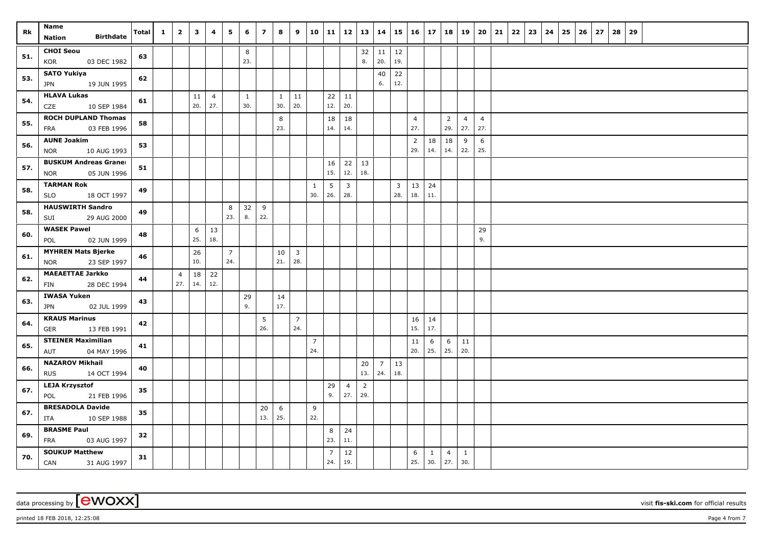| Rk  | Name<br><b>Birthdate</b><br>Nation                        | <b>Total</b> | $\mathbf{1}$ | $\overline{2}$        | 3         | 4                     | 5                     | 6                   | $\overline{7}$ | 8                   | 9                     | 10                    | 11                    | 12   13               |                       | 14                    |           | $15 \mid 16 \mid$     | 17                  | 18                    | 19                    | 20                    | 21 | 22 | 23 | 24 | 25 | 26 | 27 | 28 | 29 |  |  |  |
|-----|-----------------------------------------------------------|--------------|--------------|-----------------------|-----------|-----------------------|-----------------------|---------------------|----------------|---------------------|-----------------------|-----------------------|-----------------------|-----------------------|-----------------------|-----------------------|-----------|-----------------------|---------------------|-----------------------|-----------------------|-----------------------|----|----|----|----|----|----|----|----|----|--|--|--|
| 51. | <b>CHOI Seou</b><br>03 DEC 1982<br>KOR                    | 63           |              |                       |           |                       |                       | 8<br>23.            |                |                     |                       |                       |                       |                       | 32<br>8.              | 11<br>20.             | 12<br>19. |                       |                     |                       |                       |                       |    |    |    |    |    |    |    |    |    |  |  |  |
| 53. | <b>SATO Yukiya</b><br>19 JUN 1995<br>JPN                  | 62           |              |                       |           |                       |                       |                     |                |                     |                       |                       |                       |                       |                       | 40<br>6.              | 22<br>12. |                       |                     |                       |                       |                       |    |    |    |    |    |    |    |    |    |  |  |  |
| 54. | <b>HLAVA Lukas</b><br>10 SEP 1984<br>CZE                  | 61           |              |                       | 11<br>20. | $\overline{4}$<br>27. |                       | $\mathbf{1}$<br>30. |                | $\mathbf{1}$<br>30. | 11<br>20.             |                       | 22<br>12.             | 11<br>20.             |                       |                       |           |                       |                     |                       |                       |                       |    |    |    |    |    |    |    |    |    |  |  |  |
| 55. | <b>ROCH DUPLAND Thomas</b><br>03 FEB 1996<br><b>FRA</b>   | 58           |              |                       |           |                       |                       |                     |                | 8<br>23.            |                       |                       | 18<br>14.             | 18<br>14.             |                       |                       |           | $\overline{4}$<br>27. |                     | $\overline{2}$<br>29. | $\overline{4}$<br>27. | $\overline{4}$<br>27. |    |    |    |    |    |    |    |    |    |  |  |  |
| 56. | <b>AUNE Joakim</b><br>10 AUG 1993<br><b>NOR</b>           | 53           |              |                       |           |                       |                       |                     |                |                     |                       |                       |                       |                       |                       |                       |           | $\overline{2}$<br>29. | 18<br>14.           | 18<br>14.             | 9<br>22.              | 6<br>25.              |    |    |    |    |    |    |    |    |    |  |  |  |
| 57. | <b>BUSKUM Andreas Graner</b><br>05 JUN 1996<br><b>NOR</b> | 51           |              |                       |           |                       |                       |                     |                |                     |                       |                       | 16<br>15.             | 22<br>12.             | 13<br>18.             |                       |           |                       |                     |                       |                       |                       |    |    |    |    |    |    |    |    |    |  |  |  |
| 58. | <b>TARMAN Rok</b><br><b>SLO</b><br>18 OCT 1997            | 49           |              |                       |           |                       |                       |                     |                |                     |                       | $\mathbf{1}$<br>30.   | 5<br>26.              | $\overline{3}$<br>28. |                       |                       | 3<br>28.  | 13<br>18.             | 24<br>11.           |                       |                       |                       |    |    |    |    |    |    |    |    |    |  |  |  |
| 58. | <b>HAUSWIRTH Sandro</b><br>29 AUG 2000<br>SUI             | 49           |              |                       |           |                       | 8<br>23.              | 32<br>8.            | 9<br>22.       |                     |                       |                       |                       |                       |                       |                       |           |                       |                     |                       |                       |                       |    |    |    |    |    |    |    |    |    |  |  |  |
| 60. | <b>WASEK Pawel</b><br>02 JUN 1999<br>POL                  | 48           |              |                       | 6<br>25.  | 13<br>18.             |                       |                     |                |                     |                       |                       |                       |                       |                       |                       |           |                       |                     |                       |                       | 29<br>9.              |    |    |    |    |    |    |    |    |    |  |  |  |
| 61. | <b>MYHREN Mats Bjerke</b><br>23 SEP 1997<br><b>NOR</b>    | 46           |              |                       | 26<br>10. |                       | $\overline{7}$<br>24. |                     |                | 10<br>21.           | $\overline{3}$<br>28. |                       |                       |                       |                       |                       |           |                       |                     |                       |                       |                       |    |    |    |    |    |    |    |    |    |  |  |  |
| 62. | <b>MAEAETTAE Jarkko</b><br>28 DEC 1994<br>FIN             | 44           |              | $\overline{4}$<br>27. | 18<br>14. | 22<br>12.             |                       |                     |                |                     |                       |                       |                       |                       |                       |                       |           |                       |                     |                       |                       |                       |    |    |    |    |    |    |    |    |    |  |  |  |
| 63. | <b>IWASA Yuken</b><br>02 JUL 1999<br>JPN                  | 43           |              |                       |           |                       |                       | 29<br>9.            |                | 14<br>17.           |                       |                       |                       |                       |                       |                       |           |                       |                     |                       |                       |                       |    |    |    |    |    |    |    |    |    |  |  |  |
| 64. | <b>KRAUS Marinus</b><br><b>GER</b><br>13 FEB 1991         | 42           |              |                       |           |                       |                       |                     | 5<br>26.       |                     | $\overline{7}$<br>24. |                       |                       |                       |                       |                       |           | 16<br>15.             | 14<br>17.           |                       |                       |                       |    |    |    |    |    |    |    |    |    |  |  |  |
| 65. | <b>STEINER Maximilian</b><br>04 MAY 1996<br>AUT           | 41           |              |                       |           |                       |                       |                     |                |                     |                       | $\overline{7}$<br>24. |                       |                       |                       |                       |           | 11<br>20.             | 6<br>25.            | 6<br>25.              | 11<br>20.             |                       |    |    |    |    |    |    |    |    |    |  |  |  |
| 66. | <b>NAZAROV Mikhail</b><br>14 OCT 1994<br><b>RUS</b>       | 40           |              |                       |           |                       |                       |                     |                |                     |                       |                       |                       |                       | 20<br>13.             | $\overline{7}$<br>24. | 13<br>18. |                       |                     |                       |                       |                       |    |    |    |    |    |    |    |    |    |  |  |  |
| 67. | <b>LEJA Krzysztof</b><br>21 FEB 1996<br>POL               | 35           |              |                       |           |                       |                       |                     |                |                     |                       |                       | 29<br>9.              | $\overline{4}$<br>27. | $\overline{2}$<br>29. |                       |           |                       |                     |                       |                       |                       |    |    |    |    |    |    |    |    |    |  |  |  |
| 67. | <b>BRESADOLA Davide</b><br>ITA<br>10 SEP 1988             | 35           |              |                       |           |                       |                       |                     | 20<br>13.      | 6<br>25.            |                       | 9<br>22.              |                       |                       |                       |                       |           |                       |                     |                       |                       |                       |    |    |    |    |    |    |    |    |    |  |  |  |
| 69. | <b>BRASME Paul</b><br>FRA<br>03 AUG 1997                  | 32           |              |                       |           |                       |                       |                     |                |                     |                       |                       | 8<br>23.              | 24<br>11.             |                       |                       |           |                       |                     |                       |                       |                       |    |    |    |    |    |    |    |    |    |  |  |  |
| 70. | <b>SOUKUP Matthew</b><br>CAN<br>31 AUG 1997               | 31           |              |                       |           |                       |                       |                     |                |                     |                       |                       | $\overline{7}$<br>24. | 12<br>19.             |                       |                       |           | 6<br>25.              | $\mathbf{1}$<br>30. | $\overline{4}$<br>27. | $\mathbf{1}$<br>30.   |                       |    |    |    |    |    |    |    |    |    |  |  |  |

data processing by **CWOXX** visit fis-ski.com for official results

printed 18 FEB 2018, 12:25:08 Page 4 from 7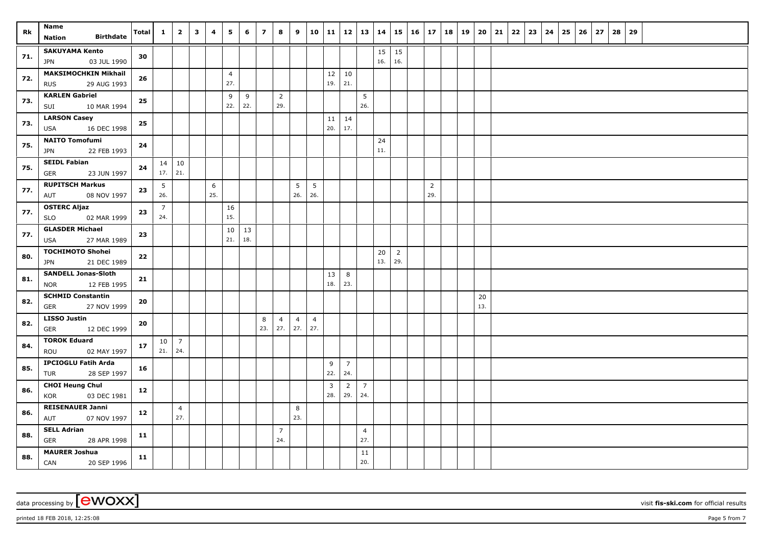| Rk  | Name                                     | <b>Total</b> | $\mathbf{1}$           | $\overline{2}$        | $\overline{\mathbf{3}}$ | $\overline{4}$ | 5              | 6   | $\overline{7}$ | 8                     | 9              | 10 11          |     |                | $12 \mid 13 \mid 14$  |           | 15             |                       | $16 \mid 17 \mid 18$ | 19 | 20 21 | 22 | 23 | $24 \mid 25$ | 26 | 27 | 28 | 29 |  |  |  |
|-----|------------------------------------------|--------------|------------------------|-----------------------|-------------------------|----------------|----------------|-----|----------------|-----------------------|----------------|----------------|-----|----------------|-----------------------|-----------|----------------|-----------------------|----------------------|----|-------|----|----|--------------|----|----|----|----|--|--|--|
|     | <b>Birthdate</b><br><b>Nation</b>        |              |                        |                       |                         |                |                |     |                |                       |                |                |     |                |                       |           |                |                       |                      |    |       |    |    |              |    |    |    |    |  |  |  |
| 71. | <b>SAKUYAMA Kento</b>                    | 30           |                        |                       |                         |                |                |     |                |                       |                |                |     |                |                       | 15        | 15             |                       |                      |    |       |    |    |              |    |    |    |    |  |  |  |
|     | <b>JPN</b><br>03 JUL 1990                |              |                        |                       |                         |                |                |     |                |                       |                |                |     |                |                       | 16.       | 16.            |                       |                      |    |       |    |    |              |    |    |    |    |  |  |  |
| 72. | <b>MAKSIMOCHKIN Mikhail</b>              | 26           |                        |                       |                         |                | $\overline{4}$ |     |                |                       |                |                | 12  | 10             |                       |           |                |                       |                      |    |       |    |    |              |    |    |    |    |  |  |  |
|     | 29 AUG 1993<br><b>RUS</b>                |              |                        |                       |                         |                | 27.            |     |                |                       |                |                | 19. | 21.            |                       |           |                |                       |                      |    |       |    |    |              |    |    |    |    |  |  |  |
| 73. | <b>KARLEN Gabriel</b>                    | ${\bf 25}$   |                        |                       |                         |                | 9              | 9   |                | $\overline{2}$        |                |                |     |                | 5                     |           |                |                       |                      |    |       |    |    |              |    |    |    |    |  |  |  |
|     | 10 MAR 1994<br>SUI                       |              |                        |                       |                         |                | 22.            | 22. |                | 29.                   |                |                |     |                | 26.                   |           |                |                       |                      |    |       |    |    |              |    |    |    |    |  |  |  |
| 73. | <b>LARSON Casey</b>                      | 25           |                        |                       |                         |                |                |     |                |                       |                |                | 11  | 14             |                       |           |                |                       |                      |    |       |    |    |              |    |    |    |    |  |  |  |
|     | <b>USA</b><br>16 DEC 1998                |              |                        |                       |                         |                |                |     |                |                       |                |                | 20. | 17.            |                       |           |                |                       |                      |    |       |    |    |              |    |    |    |    |  |  |  |
| 75. | <b>NAITO Tomofumi</b>                    | 24           |                        |                       |                         |                |                |     |                |                       |                |                |     |                |                       | 24<br>11. |                |                       |                      |    |       |    |    |              |    |    |    |    |  |  |  |
|     | JPN<br>22 FEB 1993                       |              |                        |                       |                         |                |                |     |                |                       |                |                |     |                |                       |           |                |                       |                      |    |       |    |    |              |    |    |    |    |  |  |  |
| 75. | <b>SEIDL Fabian</b><br>23 JUN 1997       | 24           | 17.                    | $14 \mid 10$<br>21.   |                         |                |                |     |                |                       |                |                |     |                |                       |           |                |                       |                      |    |       |    |    |              |    |    |    |    |  |  |  |
|     | GER<br><b>RUPITSCH Markus</b>            |              |                        |                       |                         |                |                |     |                |                       |                |                |     |                |                       |           |                |                       |                      |    |       |    |    |              |    |    |    |    |  |  |  |
| 77. | 08 NOV 1997<br>AUT                       | 23           | $5\phantom{.0}$<br>26. |                       |                         | 6<br>25.       |                |     |                |                       | 5<br>26.       | 5<br>26.       |     |                |                       |           |                | $\overline{2}$<br>29. |                      |    |       |    |    |              |    |    |    |    |  |  |  |
|     | <b>OSTERC Aljaz</b>                      |              |                        |                       |                         |                |                |     |                |                       |                |                |     |                |                       |           |                |                       |                      |    |       |    |    |              |    |    |    |    |  |  |  |
| 77. | 02 MAR 1999<br><b>SLO</b>                | 23           | $\overline{7}$<br>24.  |                       |                         |                | 16<br>15.      |     |                |                       |                |                |     |                |                       |           |                |                       |                      |    |       |    |    |              |    |    |    |    |  |  |  |
|     | <b>GLASDER Michael</b>                   |              |                        |                       |                         |                | 10             | 13  |                |                       |                |                |     |                |                       |           |                |                       |                      |    |       |    |    |              |    |    |    |    |  |  |  |
| 77. | 27 MAR 1989<br><b>USA</b>                | 23           |                        |                       |                         |                | 21.            | 18. |                |                       |                |                |     |                |                       |           |                |                       |                      |    |       |    |    |              |    |    |    |    |  |  |  |
|     | <b>TOCHIMOTO Shohei</b>                  |              |                        |                       |                         |                |                |     |                |                       |                |                |     |                |                       | 20        | $\overline{2}$ |                       |                      |    |       |    |    |              |    |    |    |    |  |  |  |
| 80. | 21 DEC 1989<br><b>JPN</b>                | 22           |                        |                       |                         |                |                |     |                |                       |                |                |     |                |                       | 13.       | 29.            |                       |                      |    |       |    |    |              |    |    |    |    |  |  |  |
|     | <b>SANDELL Jonas-Sloth</b>               |              |                        |                       |                         |                |                |     |                |                       |                |                | 13  | 8              |                       |           |                |                       |                      |    |       |    |    |              |    |    |    |    |  |  |  |
| 81. | 12 FEB 1995<br><b>NOR</b>                | 21           |                        |                       |                         |                |                |     |                |                       |                |                | 18. | 23.            |                       |           |                |                       |                      |    |       |    |    |              |    |    |    |    |  |  |  |
| 82. | <b>SCHMID Constantin</b>                 | 20           |                        |                       |                         |                |                |     |                |                       |                |                |     |                |                       |           |                |                       |                      |    | 20    |    |    |              |    |    |    |    |  |  |  |
|     | GER<br>27 NOV 1999                       |              |                        |                       |                         |                |                |     |                |                       |                |                |     |                |                       |           |                |                       |                      |    | 13.   |    |    |              |    |    |    |    |  |  |  |
| 82. | <b>LISSO Justin</b>                      | 20           |                        |                       |                         |                |                |     | 8              | $\overline{4}$        | $\overline{4}$ | $\overline{4}$ |     |                |                       |           |                |                       |                      |    |       |    |    |              |    |    |    |    |  |  |  |
|     | GER<br>12 DEC 1999                       |              |                        |                       |                         |                |                |     | 23.            | 27.                   | 27.            | 27.            |     |                |                       |           |                |                       |                      |    |       |    |    |              |    |    |    |    |  |  |  |
| 84. | <b>TOROK Eduard</b>                      | 17           | 10 <sup>1</sup>        | $\overline{7}$        |                         |                |                |     |                |                       |                |                |     |                |                       |           |                |                       |                      |    |       |    |    |              |    |    |    |    |  |  |  |
|     | 02 MAY 1997<br>ROU                       |              | 21.                    | 24.                   |                         |                |                |     |                |                       |                |                |     |                |                       |           |                |                       |                      |    |       |    |    |              |    |    |    |    |  |  |  |
| 85. | <b>IPCIOGLU Fatih Arda</b>               | 16           |                        |                       |                         |                |                |     |                |                       |                |                | 9   | $\overline{7}$ |                       |           |                |                       |                      |    |       |    |    |              |    |    |    |    |  |  |  |
|     | 28 SEP 1997<br>TUR                       |              |                        |                       |                         |                |                |     |                |                       |                |                | 22. | 24.            |                       |           |                |                       |                      |    |       |    |    |              |    |    |    |    |  |  |  |
| 86. | <b>CHOI Heung Chul</b>                   | 12           |                        |                       |                         |                |                |     |                |                       |                |                | 3   | $\overline{2}$ | $\overline{7}$        |           |                |                       |                      |    |       |    |    |              |    |    |    |    |  |  |  |
|     | 03 DEC 1981<br>KOR                       |              |                        |                       |                         |                |                |     |                |                       |                |                | 28. | 29.            | 24.                   |           |                |                       |                      |    |       |    |    |              |    |    |    |    |  |  |  |
| 86. | <b>REISENAUER Janni</b>                  | 12           |                        | $\overline{4}$<br>27. |                         |                |                |     |                |                       | 8<br>23.       |                |     |                |                       |           |                |                       |                      |    |       |    |    |              |    |    |    |    |  |  |  |
|     | 07 NOV 1997<br>AUT                       |              |                        |                       |                         |                |                |     |                |                       |                |                |     |                |                       |           |                |                       |                      |    |       |    |    |              |    |    |    |    |  |  |  |
| 88. | <b>SELL Adrian</b><br>GER<br>28 APR 1998 | 11           |                        |                       |                         |                |                |     |                | $\overline{7}$<br>24. |                |                |     |                | $\overline{4}$<br>27. |           |                |                       |                      |    |       |    |    |              |    |    |    |    |  |  |  |
|     | <b>MAURER Joshua</b>                     |              |                        |                       |                         |                |                |     |                |                       |                |                |     |                | 11                    |           |                |                       |                      |    |       |    |    |              |    |    |    |    |  |  |  |
| 88. | <b>CAN</b><br>20 SEP 1996                | 11           |                        |                       |                         |                |                |     |                |                       |                |                |     |                | 20.                   |           |                |                       |                      |    |       |    |    |              |    |    |    |    |  |  |  |

data processing by **CWOXX** visit fis-ski.com for official results

printed 18 FEB 2018, 12:25:08 **Page 5** from 7 **Page 5** from 7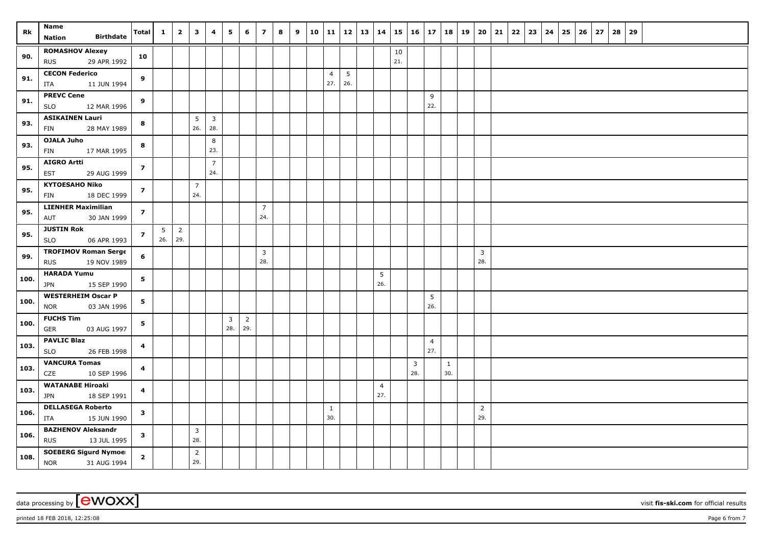| Rk   | Name<br><b>Birthdate</b><br>Nation                     | <b>Total</b>            | $\mathbf{1}$           | $\overline{2}$        | $\overline{\mathbf{3}}$ | 4                     | 5                              | 6                     | $\overline{z}$        | 8 | 9 | 10 |                |     | 11   12   13   14 |                |     | $15 \mid 16 \mid 17$  |                | 18                  | 19   20        | 21 | $22 \mid 23 \mid$ | $24 \mid 25$ | 26 | 27 | 28 | 29 |  |  |  |
|------|--------------------------------------------------------|-------------------------|------------------------|-----------------------|-------------------------|-----------------------|--------------------------------|-----------------------|-----------------------|---|---|----|----------------|-----|-------------------|----------------|-----|-----------------------|----------------|---------------------|----------------|----|-------------------|--------------|----|----|----|----|--|--|--|
|      | <b>ROMASHOV Alexey</b>                                 |                         |                        |                       |                         |                       |                                |                       |                       |   |   |    |                |     |                   |                | 10  |                       |                |                     |                |    |                   |              |    |    |    |    |  |  |  |
| 90.  | 29 APR 1992<br><b>RUS</b>                              | 10                      |                        |                       |                         |                       |                                |                       |                       |   |   |    |                |     |                   |                | 21. |                       |                |                     |                |    |                   |              |    |    |    |    |  |  |  |
| 91.  | <b>CECON Federico</b>                                  | 9                       |                        |                       |                         |                       |                                |                       |                       |   |   |    | $\overline{4}$ | 5   |                   |                |     |                       |                |                     |                |    |                   |              |    |    |    |    |  |  |  |
|      | 11 JUN 1994<br>ITA                                     |                         |                        |                       |                         |                       |                                |                       |                       |   |   |    | 27.            | 26. |                   |                |     |                       |                |                     |                |    |                   |              |    |    |    |    |  |  |  |
| 91.  | <b>PREVC Cene</b>                                      | 9                       |                        |                       |                         |                       |                                |                       |                       |   |   |    |                |     |                   |                |     |                       | 9<br>22.       |                     |                |    |                   |              |    |    |    |    |  |  |  |
|      | <b>SLO</b><br>12 MAR 1996<br><b>ASIKAINEN Lauri</b>    |                         |                        |                       | 5                       | $\overline{3}$        |                                |                       |                       |   |   |    |                |     |                   |                |     |                       |                |                     |                |    |                   |              |    |    |    |    |  |  |  |
| 93.  | FIN<br>28 MAY 1989                                     | 8                       |                        |                       | 26.                     | 28.                   |                                |                       |                       |   |   |    |                |     |                   |                |     |                       |                |                     |                |    |                   |              |    |    |    |    |  |  |  |
| 93.  | <b>OJALA Juho</b>                                      | 8                       |                        |                       |                         | 8                     |                                |                       |                       |   |   |    |                |     |                   |                |     |                       |                |                     |                |    |                   |              |    |    |    |    |  |  |  |
|      | 17 MAR 1995<br>FIN                                     |                         |                        |                       |                         | 23.                   |                                |                       |                       |   |   |    |                |     |                   |                |     |                       |                |                     |                |    |                   |              |    |    |    |    |  |  |  |
| 95.  | <b>AIGRO Artti</b><br>29 AUG 1999<br><b>EST</b>        | $\overline{z}$          |                        |                       |                         | $\overline{7}$<br>24. |                                |                       |                       |   |   |    |                |     |                   |                |     |                       |                |                     |                |    |                   |              |    |    |    |    |  |  |  |
| 95.  | <b>KYTOESAHO Niko</b>                                  | $\overline{7}$          |                        |                       | $\overline{7}$          |                       |                                |                       |                       |   |   |    |                |     |                   |                |     |                       |                |                     |                |    |                   |              |    |    |    |    |  |  |  |
|      | 18 DEC 1999<br>FIN                                     |                         |                        |                       | 24.                     |                       |                                |                       |                       |   |   |    |                |     |                   |                |     |                       |                |                     |                |    |                   |              |    |    |    |    |  |  |  |
| 95.  | <b>LIENHER Maximilian</b>                              | $\overline{z}$          |                        |                       |                         |                       |                                |                       | $\overline{7}$<br>24. |   |   |    |                |     |                   |                |     |                       |                |                     |                |    |                   |              |    |    |    |    |  |  |  |
|      | 30 JAN 1999<br>AUT<br><b>JUSTIN Rok</b>                |                         |                        |                       |                         |                       |                                |                       |                       |   |   |    |                |     |                   |                |     |                       |                |                     |                |    |                   |              |    |    |    |    |  |  |  |
| 95.  | <b>SLO</b><br>06 APR 1993                              | $\overline{z}$          | $5\overline{)}$<br>26. | $\overline{2}$<br>29. |                         |                       |                                |                       |                       |   |   |    |                |     |                   |                |     |                       |                |                     |                |    |                   |              |    |    |    |    |  |  |  |
| 99.  | <b>TROFIMOV Roman Serge</b>                            | 6                       |                        |                       |                         |                       |                                |                       | $\overline{3}$        |   |   |    |                |     |                   |                |     |                       |                |                     | $\overline{3}$ |    |                   |              |    |    |    |    |  |  |  |
|      | 19 NOV 1989<br><b>RUS</b>                              |                         |                        |                       |                         |                       |                                |                       | 28.                   |   |   |    |                |     |                   |                |     |                       |                |                     | 28.            |    |                   |              |    |    |    |    |  |  |  |
| 100. | <b>HARADA Yumu</b><br><b>JPN</b><br>15 SEP 1990        | 5                       |                        |                       |                         |                       |                                |                       |                       |   |   |    |                |     |                   | 5<br>26.       |     |                       |                |                     |                |    |                   |              |    |    |    |    |  |  |  |
|      | <b>WESTERHEIM Oscar P</b>                              |                         |                        |                       |                         |                       |                                |                       |                       |   |   |    |                |     |                   |                |     |                       | 5              |                     |                |    |                   |              |    |    |    |    |  |  |  |
| 100. | <b>NOR</b><br>03 JAN 1996                              | 5                       |                        |                       |                         |                       |                                |                       |                       |   |   |    |                |     |                   |                |     |                       | 26.            |                     |                |    |                   |              |    |    |    |    |  |  |  |
| 100. | <b>FUCHS Tim</b><br><b>GER</b><br>03 AUG 1997          | 5                       |                        |                       |                         |                       | $\overline{\mathbf{3}}$<br>28. | $\overline{2}$<br>29. |                       |   |   |    |                |     |                   |                |     |                       |                |                     |                |    |                   |              |    |    |    |    |  |  |  |
| 103. | <b>PAVLIC Blaz</b>                                     | 4                       |                        |                       |                         |                       |                                |                       |                       |   |   |    |                |     |                   |                |     |                       | $\overline{4}$ |                     |                |    |                   |              |    |    |    |    |  |  |  |
|      | <b>SLO</b><br>26 FEB 1998                              |                         |                        |                       |                         |                       |                                |                       |                       |   |   |    |                |     |                   |                |     |                       | 27.            |                     |                |    |                   |              |    |    |    |    |  |  |  |
| 103. | <b>VANCURA Tomas</b><br>CZE<br>10 SEP 1996             | 4                       |                        |                       |                         |                       |                                |                       |                       |   |   |    |                |     |                   |                |     | $\overline{3}$<br>28. |                | $\mathbf{1}$<br>30. |                |    |                   |              |    |    |    |    |  |  |  |
| 103. | <b>WATANABE Hiroaki</b>                                | $\overline{\mathbf{4}}$ |                        |                       |                         |                       |                                |                       |                       |   |   |    |                |     |                   | $\overline{4}$ |     |                       |                |                     |                |    |                   |              |    |    |    |    |  |  |  |
|      | 18 SEP 1991<br><b>JPN</b>                              |                         |                        |                       |                         |                       |                                |                       |                       |   |   |    |                |     |                   | 27.            |     |                       |                |                     |                |    |                   |              |    |    |    |    |  |  |  |
| 106. | <b>DELLASEGA Roberto</b>                               | $\mathbf{3}$            |                        |                       |                         |                       |                                |                       |                       |   |   |    | $\mathbf{1}$   |     |                   |                |     |                       |                |                     | $\overline{2}$ |    |                   |              |    |    |    |    |  |  |  |
|      | 15 JUN 1990<br>ITA                                     |                         |                        |                       |                         |                       |                                |                       |                       |   |   |    | 30.            |     |                   |                |     |                       |                |                     | 29.            |    |                   |              |    |    |    |    |  |  |  |
| 106. | <b>BAZHENOV Aleksandr</b><br><b>RUS</b><br>13 JUL 1995 | $\mathbf{3}$            |                        |                       | $\mathbf{3}$<br>28.     |                       |                                |                       |                       |   |   |    |                |     |                   |                |     |                       |                |                     |                |    |                   |              |    |    |    |    |  |  |  |
|      | <b>SOEBERG Sigurd Nymoel</b>                           |                         |                        |                       | $\overline{2}$          |                       |                                |                       |                       |   |   |    |                |     |                   |                |     |                       |                |                     |                |    |                   |              |    |    |    |    |  |  |  |
| 108. | <b>NOR</b><br>31 AUG 1994                              | $\overline{\mathbf{2}}$ |                        |                       | 29.                     |                       |                                |                       |                       |   |   |    |                |     |                   |                |     |                       |                |                     |                |    |                   |              |    |    |    |    |  |  |  |

data processing by **CWOXX** visit fis-ski.com for official results

printed 18 FEB 2018, 12:25:08 **Page 6** from 7